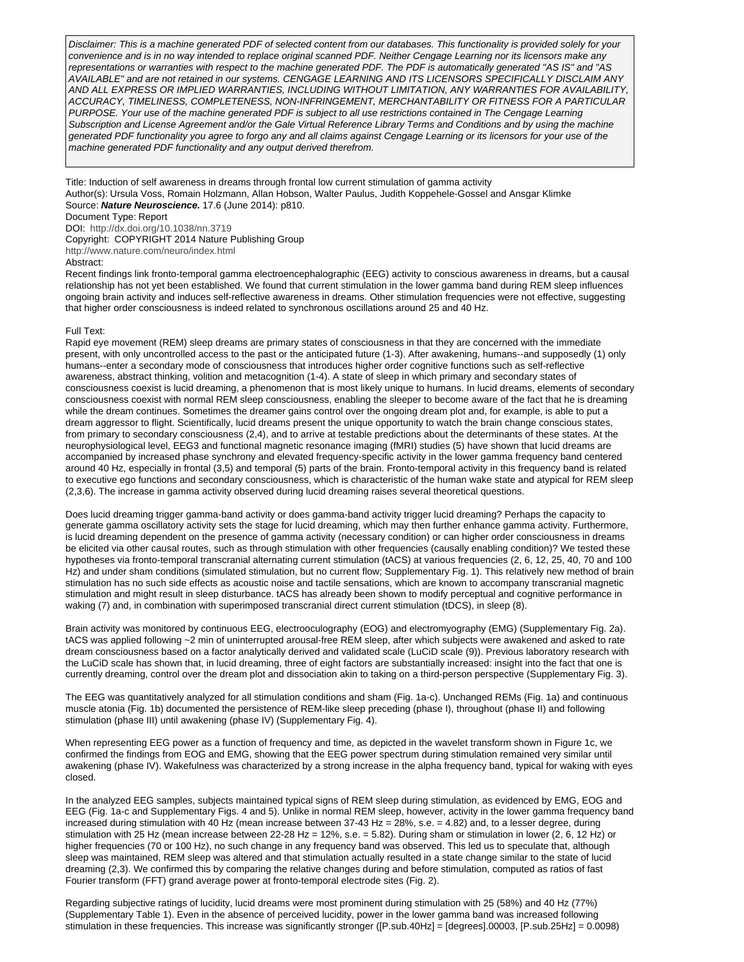Disclaimer: This is a machine generated PDF of selected content from our databases. This functionality is provided solely for your convenience and is in no way intended to replace original scanned PDF. Neither Cengage Learning nor its licensors make any representations or warranties with respect to the machine generated PDF. The PDF is automatically generated "AS IS" and "AS AVAILABLE" and are not retained in our systems. CENGAGE LEARNING AND ITS LICENSORS SPECIFICALLY DISCLAIM ANY AND ALL EXPRESS OR IMPLIED WARRANTIES, INCLUDING WITHOUT LIMITATION, ANY WARRANTIES FOR AVAILABILITY, ACCURACY, TIMELINESS, COMPLETENESS, NON-INFRINGEMENT, MERCHANTABILITY OR FITNESS FOR A PARTICULAR PURPOSE. Your use of the machine generated PDF is subject to all use restrictions contained in The Cengage Learning Subscription and License Agreement and/or the Gale Virtual Reference Library Terms and Conditions and by using the machine generated PDF functionality you agree to forgo any and all claims against Cengage Learning or its licensors for your use of the machine generated PDF functionality and any output derived therefrom.

Title: Induction of self awareness in dreams through frontal low current stimulation of gamma activity Author(s): Ursula Voss, Romain Holzmann, Allan Hobson, Walter Paulus, Judith Koppehele-Gossel and Ansgar Klimke Source: **Nature Neuroscience.** 17.6 (June 2014): p810.

## Document Type: Report

DOI: <http://dx.doi.org/10.1038/nn.3719>

Copyright: COPYRIGHT 2014 Nature Publishing Group

<http://www.nature.com/neuro/index.html>

#### Abstract:

Recent findings link fronto-temporal gamma electroencephalographic (EEG) activity to conscious awareness in dreams, but a causal relationship has not yet been established. We found that current stimulation in the lower gamma band during REM sleep influences ongoing brain activity and induces self-reflective awareness in dreams. Other stimulation frequencies were not effective, suggesting that higher order consciousness is indeed related to synchronous oscillations around 25 and 40 Hz.

### Full Text:

Rapid eye movement (REM) sleep dreams are primary states of consciousness in that they are concerned with the immediate present, with only uncontrolled access to the past or the anticipated future (1-3). After awakening, humans--and supposedly (1) only humans--enter a secondary mode of consciousness that introduces higher order cognitive functions such as self-reflective awareness, abstract thinking, volition and metacognition (1-4). A state of sleep in which primary and secondary states of consciousness coexist is lucid dreaming, a phenomenon that is most likely unique to humans. In lucid dreams, elements of secondary consciousness coexist with normal REM sleep consciousness, enabling the sleeper to become aware of the fact that he is dreaming while the dream continues. Sometimes the dreamer gains control over the ongoing dream plot and, for example, is able to put a dream aggressor to flight. Scientifically, lucid dreams present the unique opportunity to watch the brain change conscious states, from primary to secondary consciousness (2,4), and to arrive at testable predictions about the determinants of these states. At the neurophysiological level, EEG3 and functional magnetic resonance imaging (fMRI) studies (5) have shown that lucid dreams are accompanied by increased phase synchrony and elevated frequency-specific activity in the lower gamma frequency band centered around 40 Hz, especially in frontal (3,5) and temporal (5) parts of the brain. Fronto-temporal activity in this frequency band is related to executive ego functions and secondary consciousness, which is characteristic of the human wake state and atypical for REM sleep (2,3,6). The increase in gamma activity observed during lucid dreaming raises several theoretical questions.

Does lucid dreaming trigger gamma-band activity or does gamma-band activity trigger lucid dreaming? Perhaps the capacity to generate gamma oscillatory activity sets the stage for lucid dreaming, which may then further enhance gamma activity. Furthermore, is lucid dreaming dependent on the presence of gamma activity (necessary condition) or can higher order consciousness in dreams be elicited via other causal routes, such as through stimulation with other frequencies (causally enabling condition)? We tested these hypotheses via fronto-temporal transcranial alternating current stimulation (tACS) at various frequencies (2, 6, 12, 25, 40, 70 and 100 Hz) and under sham conditions (simulated stimulation, but no current flow; Supplementary Fig. 1). This relatively new method of brain stimulation has no such side effects as acoustic noise and tactile sensations, which are known to accompany transcranial magnetic stimulation and might result in sleep disturbance. tACS has already been shown to modify perceptual and cognitive performance in waking (7) and, in combination with superimposed transcranial direct current stimulation (tDCS), in sleep (8).

Brain activity was monitored by continuous EEG, electrooculography (EOG) and electromyography (EMG) (Supplementary Fig. 2a). tACS was applied following ~2 min of uninterrupted arousal-free REM sleep, after which subjects were awakened and asked to rate dream consciousness based on a factor analytically derived and validated scale (LuCiD scale (9)). Previous laboratory research with the LuCiD scale has shown that, in lucid dreaming, three of eight factors are substantially increased: insight into the fact that one is currently dreaming, control over the dream plot and dissociation akin to taking on a third-person perspective (Supplementary Fig. 3).

The EEG was quantitatively analyzed for all stimulation conditions and sham (Fig. 1a-c). Unchanged REMs (Fig. 1a) and continuous muscle atonia (Fig. 1b) documented the persistence of REM-like sleep preceding (phase I), throughout (phase II) and following stimulation (phase III) until awakening (phase IV) (Supplementary Fig. 4).

When representing EEG power as a function of frequency and time, as depicted in the wavelet transform shown in Figure 1c, we confirmed the findings from EOG and EMG, showing that the EEG power spectrum during stimulation remained very similar until awakening (phase IV). Wakefulness was characterized by a strong increase in the alpha frequency band, typical for waking with eyes closed.

In the analyzed EEG samples, subjects maintained typical signs of REM sleep during stimulation, as evidenced by EMG, EOG and EEG (Fig. 1a-c and Supplementary Figs. 4 and 5). Unlike in normal REM sleep, however, activity in the lower gamma frequency band increased during stimulation with 40 Hz (mean increase between 37-43 Hz = 28%, s.e. = 4.82) and, to a lesser degree, during stimulation with 25 Hz (mean increase between 22-28 Hz = 12%, s.e. = 5.82). During sham or stimulation in lower (2, 6, 12 Hz) or higher frequencies (70 or 100 Hz), no such change in any frequency band was observed. This led us to speculate that, although sleep was maintained, REM sleep was altered and that stimulation actually resulted in a state change similar to the state of lucid dreaming (2,3). We confirmed this by comparing the relative changes during and before stimulation, computed as ratios of fast Fourier transform (FFT) grand average power at fronto-temporal electrode sites (Fig. 2).

Regarding subjective ratings of lucidity, lucid dreams were most prominent during stimulation with 25 (58%) and 40 Hz (77%) (Supplementary Table 1). Even in the absence of perceived lucidity, power in the lower gamma band was increased following stimulation in these frequencies. This increase was significantly stronger ([P.sub.40Hz] = [degrees].00003, [P.sub.25Hz] = 0.0098)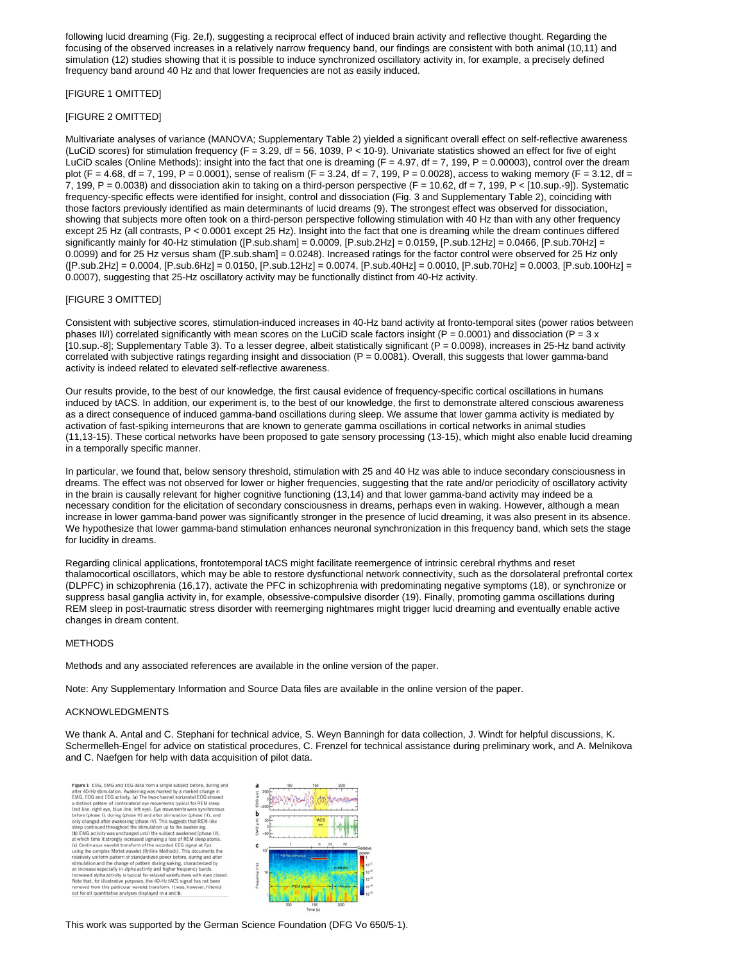following lucid dreaming (Fig. 2e,f), suggesting a reciprocal effect of induced brain activity and reflective thought. Regarding the focusing of the observed increases in a relatively narrow frequency band, our findings are consistent with both animal (10,11) and simulation (12) studies showing that it is possible to induce synchronized oscillatory activity in, for example, a precisely defined frequency band around 40 Hz and that lower frequencies are not as easily induced.

# [FIGURE 1 OMITTED]

## [FIGURE 2 OMITTED]

Multivariate analyses of variance (MANOVA; Supplementary Table 2) yielded a significant overall effect on self-reflective awareness (LuCiD scores) for stimulation frequency (F = 3.29, df = 56, 1039, P < 10-9). Univariate statistics showed an effect for five of eight LuCiD scales (Online Methods): insight into the fact that one is dreaming ( $F = 4.97$ , df = 7, 199,  $P = 0.00003$ ), control over the dream plot (F = 4.68, df = 7, 199, P = 0.0001), sense of realism (F = 3.24, df = 7, 199, P = 0.0028), access to waking memory (F = 3.12, df = 7, 199,  $P = 0.0038$ ) and dissociation akin to taking on a third-person perspective ( $F = 10.62$ , df = 7, 199,  $P < [10.$ sup.-9]). Systematic frequency-specific effects were identified for insight, control and dissociation (Fig. 3 and Supplementary Table 2), coinciding with those factors previously identified as main determinants of lucid dreams (9). The strongest effect was observed for dissociation, showing that subjects more often took on a third-person perspective following stimulation with 40 Hz than with any other frequency except 25 Hz (all contrasts, P < 0.0001 except 25 Hz). Insight into the fact that one is dreaming while the dream continues differed significantly mainly for 40-Hz stimulation ( $[$ P.sub.sham] = 0.0009,  $[$ P.sub.2Hz] = 0.0159,  $[$ P.sub.12Hz] = 0.0466,  $[$ P.sub.70Hz] = 0.0099) and for 25 Hz versus sham ([P.sub.sham] = 0.0248). Increased ratings for the factor control were observed for 25 Hz only ([P.sub.2Hz] = 0.0004, [P.sub.6Hz] = 0.0150, [P.sub.12Hz] = 0.0074, [P.sub.40Hz] = 0.0010, [P.sub.70Hz] = 0.0003, [P.sub.100Hz] = 0.0007), suggesting that 25-Hz oscillatory activity may be functionally distinct from 40-Hz activity.

## [FIGURE 3 OMITTED]

Consistent with subjective scores, stimulation-induced increases in 40-Hz band activity at fronto-temporal sites (power ratios between phases II/I) correlated significantly with mean scores on the LuCiD scale factors insight (P = 0.0001) and dissociation (P = 3 x [10.sup.-8]; Supplementary Table 3). To a lesser degree, albeit statistically significant (P = 0.0098), increases in 25-Hz band activity correlated with subjective ratings regarding insight and dissociation  $(P = 0.0081)$ . Overall, this suggests that lower gamma-band activity is indeed related to elevated self-reflective awareness.

Our results provide, to the best of our knowledge, the first causal evidence of frequency-specific cortical oscillations in humans induced by tACS. In addition, our experiment is, to the best of our knowledge, the first to demonstrate altered conscious awareness as a direct consequence of induced gamma-band oscillations during sleep. We assume that lower gamma activity is mediated by activation of fast-spiking interneurons that are known to generate gamma oscillations in cortical networks in animal studies (11,13-15). These cortical networks have been proposed to gate sensory processing (13-15), which might also enable lucid dreaming in a temporally specific manner.

In particular, we found that, below sensory threshold, stimulation with 25 and 40 Hz was able to induce secondary consciousness in dreams. The effect was not observed for lower or higher frequencies, suggesting that the rate and/or periodicity of oscillatory activity in the brain is causally relevant for higher cognitive functioning (13,14) and that lower gamma-band activity may indeed be a necessary condition for the elicitation of secondary consciousness in dreams, perhaps even in waking. However, although a mean increase in lower gamma-band power was significantly stronger in the presence of lucid dreaming, it was also present in its absence. We hypothesize that lower gamma-band stimulation enhances neuronal synchronization in this frequency band, which sets the stage for lucidity in dreams.

Regarding clinical applications, frontotemporal tACS might facilitate reemergence of intrinsic cerebral rhythms and reset thalamocortical oscillators, which may be able to restore dysfunctional network connectivity, such as the dorsolateral prefrontal cortex (DLPFC) in schizophrenia (16,17), activate the PFC in schizophrenia with predominating negative symptoms (18), or synchronize or suppress basal ganglia activity in, for example, obsessive-compulsive disorder (19). Finally, promoting gamma oscillations during REM sleep in post-traumatic stress disorder with reemerging nightmares might trigger lucid dreaming and eventually enable active changes in dream content.

#### METHODS

Methods and any associated references are available in the online version of the paper.

Note: Any Supplementary Information and Source Data files are available in the online version of the paper.

#### ACKNOWLEDGMENTS

We thank A. Antal and C. Stephani for technical advice, S. Weyn Banningh for data collection, J. Windt for helpful discussions, K. Schermelleh-Engel for advice on statistical procedures, C. Frenzel for technical assistance during preliminary work, and A. Melnikova and C. Naefgen for help with data acquisition of pilot data.

**Figure 1** EOG, EMG and EEG data from a single subject before, during and EEM 40-1Hz simulation. Awakening was marked by a marked change in a EMG C, EOG and EEG activity. (a) The two-channel herizontal ECG showed frequili Figure 1 EOG. EMG and EEG data from a single subject before, during and



This work was supported by the German Science Foundation (DFG Vo 650/5-1).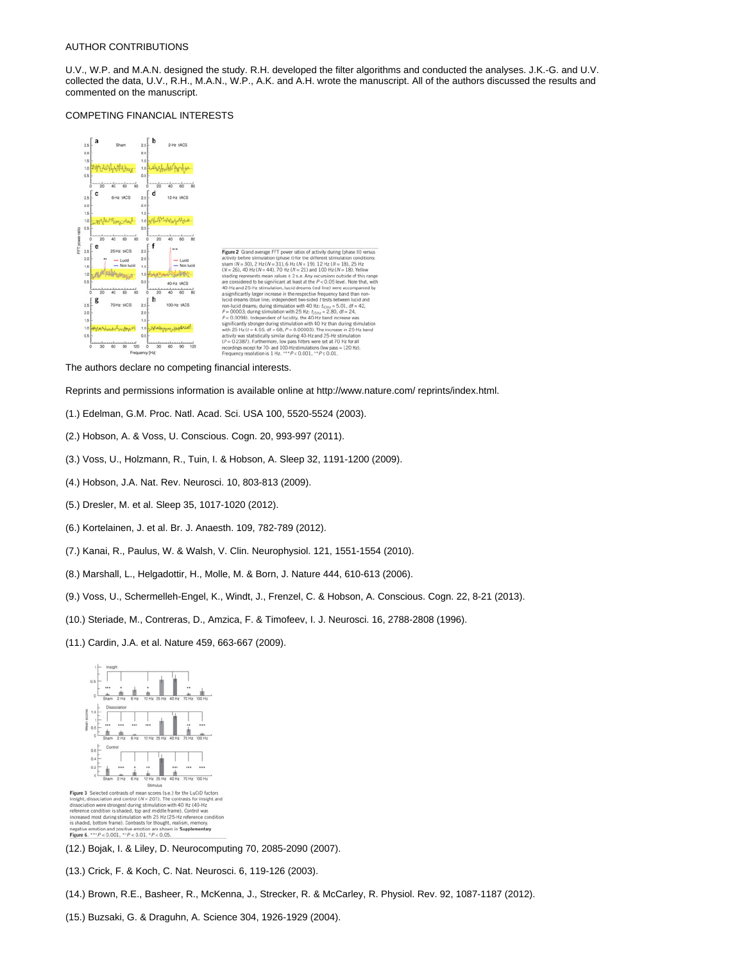#### AUTHOR CONTRIBUTIONS

U.V., W.P. and M.A.N. designed the study. R.H. developed the filter algorithms and conducted the analyses. J.K.-G. and U.V. collected the data, U.V., R.H., M.A.N., W.P., A.K. and A.H. wrote the manuscript. All of the authors discussed the results and commented on the manuscript.

### COMPETING FINANCIAL INTERESTS



The authors declare no competing financial interests.

Reprints and permissions information is available online at http://www.nature.com/ reprints/index.html.

- (1.) Edelman, G.M. Proc. Natl. Acad. Sci. USA 100, 5520-5524 (2003).
- (2.) Hobson, A. & Voss, U. Conscious. Cogn. 20, 993-997 (2011).
- (3.) Voss, U., Holzmann, R., Tuin, I. & Hobson, A. Sleep 32, 1191-1200 (2009).
- (4.) Hobson, J.A. Nat. Rev. Neurosci. 10, 803-813 (2009).
- (5.) Dresler, M. et al. Sleep 35, 1017-1020 (2012).
- (6.) Kortelainen, J. et al. Br. J. Anaesth. 109, 782-789 (2012).
- (7.) Kanai, R., Paulus, W. & Walsh, V. Clin. Neurophysiol. 121, 1551-1554 (2010).
- (8.) Marshall, L., Helgadottir, H., Molle, M. & Born, J. Nature 444, 610-613 (2006).
- (9.) Voss, U., Schermelleh-Engel, K., Windt, J., Frenzel, C. & Hobson, A. Conscious. Cogn. 22, 8-21 (2013).
- (10.) Steriade, M., Contreras, D., Amzica, F. & Timofeev, I. J. Neurosci. 16, 2788-2808 (1996).
- (11.) Cardin, J.A. et al. Nature 459, 663-667 (2009).



**Figure 3** Selected contrasts of mean scores (s.e.) for the LuGiD factors<br>insight, dissociation and control (*N* = 207). The contrasts for insight and<br>dissociation were strongest during stimulation with 40 Hz (40-Hz<br>refere increased most during stimulation with 25<br>is shaded, bottom frame). Contrasts for the ought, re negative emotion and positive emotion are shown in Supplementary<br>Figure 6. \*\*\*  $P < 0.001$ , \*\* $P < 0.01$ , \* $P < 0.05$ .

- (12.) Bojak, I. & Liley, D. Neurocomputing 70, 2085-2090 (2007).
- (13.) Crick, F. & Koch, C. Nat. Neurosci. 6, 119-126 (2003).
- (14.) Brown, R.E., Basheer, R., McKenna, J., Strecker, R. & McCarley, R. Physiol. Rev. 92, 1087-1187 (2012).
- (15.) Buzsaki, G. & Draguhn, A. Science 304, 1926-1929 (2004).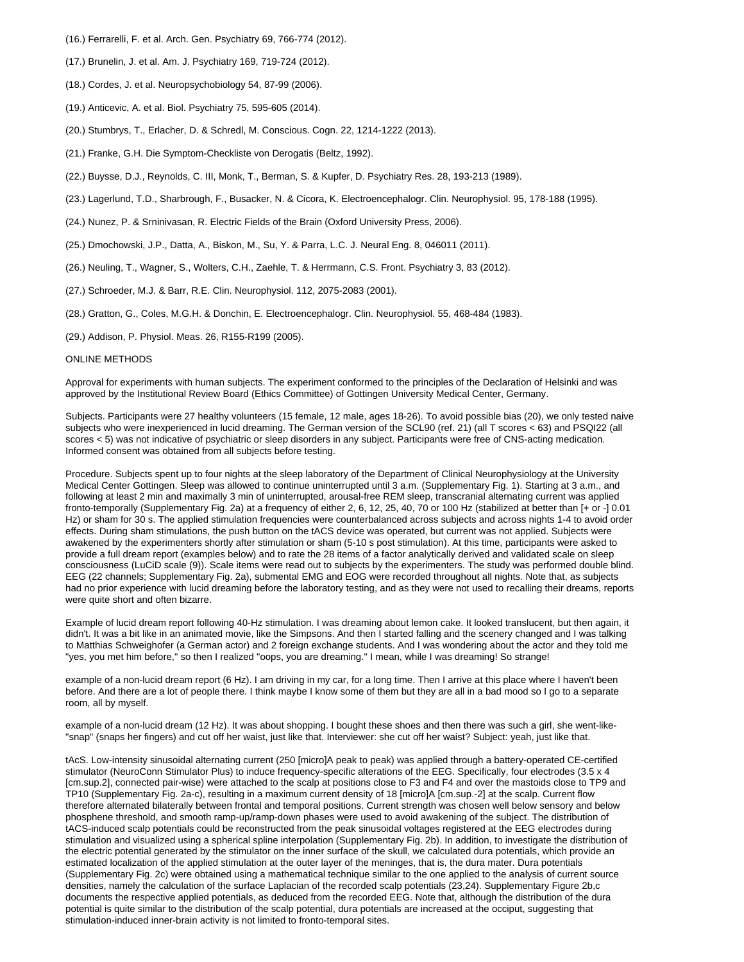- (16.) Ferrarelli, F. et al. Arch. Gen. Psychiatry 69, 766-774 (2012).
- (17.) Brunelin, J. et al. Am. J. Psychiatry 169, 719-724 (2012).
- (18.) Cordes, J. et al. Neuropsychobiology 54, 87-99 (2006).
- (19.) Anticevic, A. et al. Biol. Psychiatry 75, 595-605 (2014).
- (20.) Stumbrys, T., Erlacher, D. & Schredl, M. Conscious. Cogn. 22, 1214-1222 (2013).
- (21.) Franke, G.H. Die Symptom-Checkliste von Derogatis (Beltz, 1992).
- (22.) Buysse, D.J., Reynolds, C. III, Monk, T., Berman, S. & Kupfer, D. Psychiatry Res. 28, 193-213 (1989).
- (23.) Lagerlund, T.D., Sharbrough, F., Busacker, N. & Cicora, K. Electroencephalogr. Clin. Neurophysiol. 95, 178-188 (1995).
- (24.) Nunez, P. & Srninivasan, R. Electric Fields of the Brain (Oxford University Press, 2006).
- (25.) Dmochowski, J.P., Datta, A., Biskon, M., Su, Y. & Parra, L.C. J. Neural Eng. 8, 046011 (2011).
- (26.) Neuling, T., Wagner, S., Wolters, C.H., Zaehle, T. & Herrmann, C.S. Front. Psychiatry 3, 83 (2012).
- (27.) Schroeder, M.J. & Barr, R.E. Clin. Neurophysiol. 112, 2075-2083 (2001).
- (28.) Gratton, G., Coles, M.G.H. & Donchin, E. Electroencephalogr. Clin. Neurophysiol. 55, 468-484 (1983).
- (29.) Addison, P. Physiol. Meas. 26, R155-R199 (2005).

## ONLINE METHODS

Approval for experiments with human subjects. The experiment conformed to the principles of the Declaration of Helsinki and was approved by the Institutional Review Board (Ethics Committee) of Gottingen University Medical Center, Germany.

Subjects. Participants were 27 healthy volunteers (15 female, 12 male, ages 18-26). To avoid possible bias (20), we only tested naive subjects who were inexperienced in lucid dreaming. The German version of the SCL90 (ref. 21) (all T scores < 63) and PSQI22 (all scores < 5) was not indicative of psychiatric or sleep disorders in any subject. Participants were free of CNS-acting medication. Informed consent was obtained from all subjects before testing.

Procedure. Subjects spent up to four nights at the sleep laboratory of the Department of Clinical Neurophysiology at the University Medical Center Gottingen. Sleep was allowed to continue uninterrupted until 3 a.m. (Supplementary Fig. 1). Starting at 3 a.m., and following at least 2 min and maximally 3 min of uninterrupted, arousal-free REM sleep, transcranial alternating current was applied fronto-temporally (Supplementary Fig. 2a) at a frequency of either 2, 6, 12, 25, 40, 70 or 100 Hz (stabilized at better than [+ or -] 0.01 Hz) or sham for 30 s. The applied stimulation frequencies were counterbalanced across subjects and across nights 1-4 to avoid order effects. During sham stimulations, the push button on the tACS device was operated, but current was not applied. Subjects were awakened by the experimenters shortly after stimulation or sham (5-10 s post stimulation). At this time, participants were asked to provide a full dream report (examples below) and to rate the 28 items of a factor analytically derived and validated scale on sleep consciousness (LuCiD scale (9)). Scale items were read out to subjects by the experimenters. The study was performed double blind. EEG (22 channels; Supplementary Fig. 2a), submental EMG and EOG were recorded throughout all nights. Note that, as subjects had no prior experience with lucid dreaming before the laboratory testing, and as they were not used to recalling their dreams, reports were quite short and often bizarre.

Example of lucid dream report following 40-Hz stimulation. I was dreaming about lemon cake. It looked translucent, but then again, it didn't. It was a bit like in an animated movie, like the Simpsons. And then I started falling and the scenery changed and I was talking to Matthias Schweighofer (a German actor) and 2 foreign exchange students. And I was wondering about the actor and they told me "yes, you met him before," so then I realized "oops, you are dreaming." I mean, while I was dreaming! So strange!

example of a non-lucid dream report (6 Hz). I am driving in my car, for a long time. Then I arrive at this place where I haven't been before. And there are a lot of people there. I think maybe I know some of them but they are all in a bad mood so I go to a separate room, all by myself.

example of a non-lucid dream (12 Hz). It was about shopping. I bought these shoes and then there was such a girl, she went-like- "snap" (snaps her fingers) and cut off her waist, just like that. Interviewer: she cut off her waist? Subject: yeah, just like that.

tAcS. Low-intensity sinusoidal alternating current (250 [micro]A peak to peak) was applied through a battery-operated CE-certified stimulator (NeuroConn Stimulator Plus) to induce frequency-specific alterations of the EEG. Specifically, four electrodes (3.5 x 4 [cm.sup.2], connected pair-wise) were attached to the scalp at positions close to F3 and F4 and over the mastoids close to TP9 and TP10 (Supplementary Fig. 2a-c), resulting in a maximum current density of 18 [micro]A [cm.sup.-2] at the scalp. Current flow therefore alternated bilaterally between frontal and temporal positions. Current strength was chosen well below sensory and below phosphene threshold, and smooth ramp-up/ramp-down phases were used to avoid awakening of the subject. The distribution of tACS-induced scalp potentials could be reconstructed from the peak sinusoidal voltages registered at the EEG electrodes during stimulation and visualized using a spherical spline interpolation (Supplementary Fig. 2b). In addition, to investigate the distribution of the electric potential generated by the stimulator on the inner surface of the skull, we calculated dura potentials, which provide an estimated localization of the applied stimulation at the outer layer of the meninges, that is, the dura mater. Dura potentials (Supplementary Fig. 2c) were obtained using a mathematical technique similar to the one applied to the analysis of current source densities, namely the calculation of the surface Laplacian of the recorded scalp potentials (23,24). Supplementary Figure 2b,c documents the respective applied potentials, as deduced from the recorded EEG. Note that, although the distribution of the dura potential is quite similar to the distribution of the scalp potential, dura potentials are increased at the occiput, suggesting that stimulation-induced inner-brain activity is not limited to fronto-temporal sites.